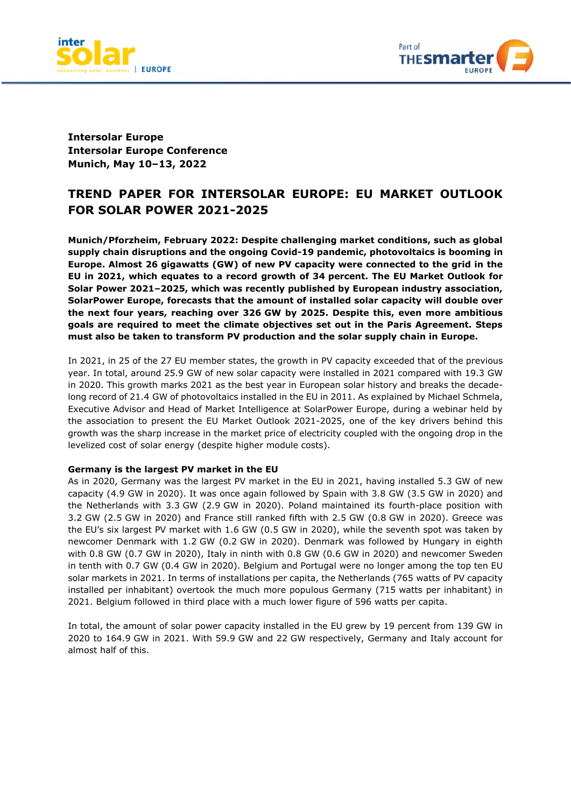



**Intersolar Europe Intersolar Europe Conference Munich, May 10–13, 2022**

# **TREND PAPER FOR INTERSOLAR EUROPE: EU MARKET OUTLOOK FOR SOLAR POWER 2021-2025**

**Munich/Pforzheim, February 2022: Despite challenging market conditions, such as global supply chain disruptions and the ongoing Covid-19 pandemic, photovoltaics is booming in Europe. Almost 26 gigawatts (GW) of new PV capacity were connected to the grid in the EU in 2021, which equates to a record growth of 34 percent. The EU Market Outlook for Solar Power 2021–2025, which was recently published by European industry association, SolarPower Europe, forecasts that the amount of installed solar capacity will double over the next four years, reaching over 326 GW by 2025. Despite this, even more ambitious goals are required to meet the climate objectives set out in the Paris Agreement. Steps must also be taken to transform PV production and the solar supply chain in Europe.**

In 2021, in 25 of the 27 EU member states, the growth in PV capacity exceeded that of the previous year. In total, around 25.9 GW of new solar capacity were installed in 2021 compared with 19.3 GW in 2020. This growth marks 2021 as the best year in European solar history and breaks the decadelong record of 21.4 GW of photovoltaics installed in the EU in 2011. As explained by Michael Schmela, Executive Advisor and Head of Market Intelligence at SolarPower Europe, during a webinar held by the association to present the EU Market Outlook 2021-2025, one of the key drivers behind this growth was the sharp increase in the market price of electricity coupled with the ongoing drop in the levelized cost of solar energy (despite higher module costs).

#### **Germany is the largest PV market in the EU**

As in 2020, Germany was the largest PV market in the EU in 2021, having installed 5.3 GW of new capacity (4.9 GW in 2020). It was once again followed by Spain with 3.8 GW (3.5 GW in 2020) and the Netherlands with 3.3 GW (2.9 GW in 2020). Poland maintained its fourth-place position with 3.2 GW (2.5 GW in 2020) and France still ranked fifth with 2.5 GW (0.8 GW in 2020). Greece was the EU's six largest PV market with 1.6 GW (0.5 GW in 2020), while the seventh spot was taken by newcomer Denmark with 1.2 GW (0.2 GW in 2020). Denmark was followed by Hungary in eighth with 0.8 GW (0.7 GW in 2020), Italy in ninth with 0.8 GW (0.6 GW in 2020) and newcomer Sweden in tenth with 0.7 GW (0.4 GW in 2020). Belgium and Portugal were no longer among the top ten EU solar markets in 2021. In terms of installations per capita, the Netherlands (765 watts of PV capacity installed per inhabitant) overtook the much more populous Germany (715 watts per inhabitant) in 2021. Belgium followed in third place with a much lower figure of 596 watts per capita.

In total, the amount of solar power capacity installed in the EU grew by 19 percent from 139 GW in 2020 to 164.9 GW in 2021. With 59.9 GW and 22 GW respectively, Germany and Italy account for almost half of this.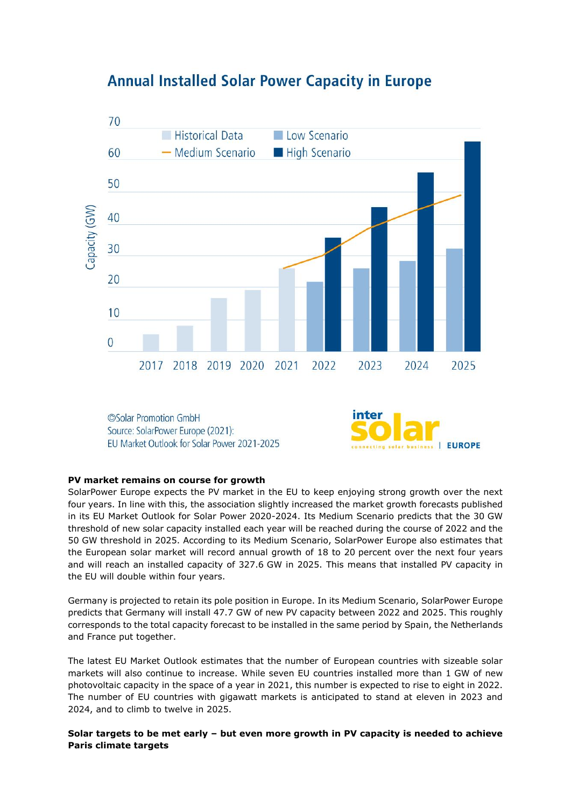

# **Annual Installed Solar Power Capacity in Europe**

CSolar Promotion GmbH Source: SolarPower Europe (2021): EU Market Outlook for Solar Power 2021-2025



#### **PV market remains on course for growth**

SolarPower Europe expects the PV market in the EU to keep enjoying strong growth over the next four years. In line with this, the association slightly increased the market growth forecasts published in its EU Market Outlook for Solar Power 2020-2024. Its Medium Scenario predicts that the 30 GW threshold of new solar capacity installed each year will be reached during the course of 2022 and the 50 GW threshold in 2025. According to its Medium Scenario, SolarPower Europe also estimates that the European solar market will record annual growth of 18 to 20 percent over the next four years and will reach an installed capacity of 327.6 GW in 2025. This means that installed PV capacity in the EU will double within four years.

Germany is projected to retain its pole position in Europe. In its Medium Scenario, SolarPower Europe predicts that Germany will install 47.7 GW of new PV capacity between 2022 and 2025. This roughly corresponds to the total capacity forecast to be installed in the same period by Spain, the Netherlands and France put together.

The latest EU Market Outlook estimates that the number of European countries with sizeable solar markets will also continue to increase. While seven EU countries installed more than 1 GW of new photovoltaic capacity in the space of a year in 2021, this number is expected to rise to eight in 2022. The number of EU countries with gigawatt markets is anticipated to stand at eleven in 2023 and 2024, and to climb to twelve in 2025.

### **Solar targets to be met early – but even more growth in PV capacity is needed to achieve Paris climate targets**